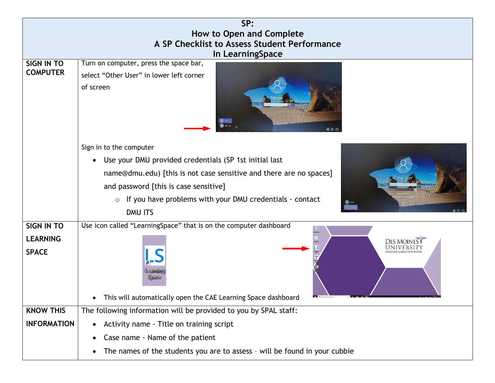| SP:                                          |                                                                                         |  |  |  |  |  |
|----------------------------------------------|-----------------------------------------------------------------------------------------|--|--|--|--|--|
| How to Open and Complete                     |                                                                                         |  |  |  |  |  |
| A SP Checklist to Assess Student Performance |                                                                                         |  |  |  |  |  |
| In LearningSpace                             |                                                                                         |  |  |  |  |  |
| SIGN IN TO<br><b>COMPUTER</b>                | Turn on computer, press the space bar,                                                  |  |  |  |  |  |
|                                              | select "Other User" in lower left corner                                                |  |  |  |  |  |
|                                              | of screen                                                                               |  |  |  |  |  |
|                                              |                                                                                         |  |  |  |  |  |
|                                              |                                                                                         |  |  |  |  |  |
|                                              |                                                                                         |  |  |  |  |  |
|                                              | Sign in to the computer                                                                 |  |  |  |  |  |
|                                              | Use your DMU provided credentials (SP 1st initial last<br>$\bullet$                     |  |  |  |  |  |
|                                              | name@dmu.edu) [this is not case sensitive and there are no spaces]                      |  |  |  |  |  |
|                                              | and password [this is case sensitive]                                                   |  |  |  |  |  |
|                                              | $\circ$ If you have problems with your DMU credentials - contact                        |  |  |  |  |  |
|                                              | DMU ITS                                                                                 |  |  |  |  |  |
| <b>SIGN IN TO</b>                            | Use icon called "LearningSpace" that is on the computer dashboard                       |  |  |  |  |  |
| <b>LEARNING</b>                              | <b>DES MOINE</b>                                                                        |  |  |  |  |  |
| <b>SPACE</b>                                 |                                                                                         |  |  |  |  |  |
|                                              |                                                                                         |  |  |  |  |  |
|                                              | Learning<br>Space                                                                       |  |  |  |  |  |
|                                              |                                                                                         |  |  |  |  |  |
|                                              | This will automatically open the CAE Learning Space dashboard                           |  |  |  |  |  |
| <b>KNOW THIS</b>                             | The following information will be provided to you by SPAL staff:                        |  |  |  |  |  |
| <b>INFORMATION</b>                           | Activity name - Title on training script<br>$\bullet$                                   |  |  |  |  |  |
|                                              | Case name - Name of the patient                                                         |  |  |  |  |  |
|                                              | The names of the students you are to assess - will be found in your cubbie<br>$\bullet$ |  |  |  |  |  |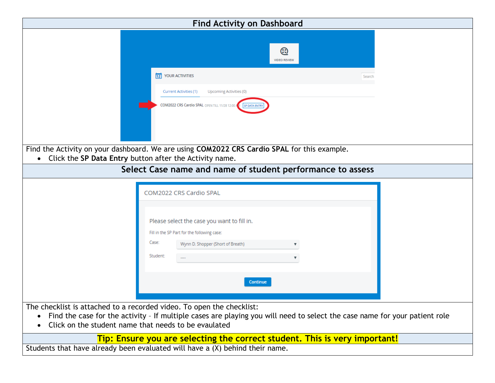|                                                                                                                               | <b>Find Activity on Dashboard</b>                                                                                                                                      |        |
|-------------------------------------------------------------------------------------------------------------------------------|------------------------------------------------------------------------------------------------------------------------------------------------------------------------|--------|
|                                                                                                                               | ⊛<br><b>VIDEO REVIEW</b>                                                                                                                                               |        |
|                                                                                                                               | 12 YOUR ACTIVITIES                                                                                                                                                     | Search |
|                                                                                                                               | Current Activities (1)<br>Upcoming Activities (0)                                                                                                                      |        |
|                                                                                                                               | COM2022 CRS Cardio SPAL OPEN TILL 11/28 12:00 A<br>SP DATA ENTR                                                                                                        |        |
| Click the SP Data Entry button after the Activity name.                                                                       | Find the Activity on your dashboard. We are using COM2022 CRS Cardio SPAL for this example.                                                                            |        |
|                                                                                                                               | Select Case name and name of student performance to assess                                                                                                             |        |
| Case:<br>Student:                                                                                                             | COM2022 CRS Cardio SPAL<br>Please select the case you want to fill in.<br>Fill in the SP Part for the following case:<br>Wynn D. Shopper (Short of Breath)<br>Continue |        |
| The checklist is attached to a recorded video. To open the checklist:<br>Click on the student name that needs to be evaulated | Find the case for the activity - If multiple cases are playing you will need to select the case name for your patient role                                             |        |
| Students that have already been evaluated will have a (X) behind their name.                                                  | Tip: Ensure you are selecting the correct student. This is very important!                                                                                             |        |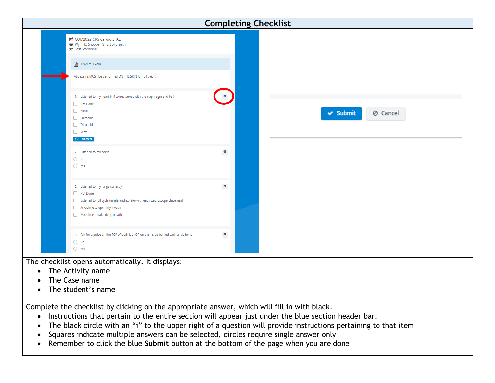| <b>Completing Checklist</b> |                                                                                                                                                                                           |             |  |               |          |  |
|-----------------------------|-------------------------------------------------------------------------------------------------------------------------------------------------------------------------------------------|-------------|--|---------------|----------|--|
|                             | la COM2022 CRS Cardio SPAL<br>Wynn D. Shopper (Short of Breath)<br>f <sup>3</sup> Test Learner001                                                                                         |             |  |               |          |  |
|                             | $\Box$ Physical Exam                                                                                                                                                                      |             |  |               |          |  |
|                             | ALL exams MUST be performed ON THE SKIN for full credit.                                                                                                                                  |             |  |               |          |  |
|                             | 1. Listened to my heart in 4 correct areas with the diaphragm and bell<br>Not Done<br>Aortic                                                                                              | $\bullet$   |  |               |          |  |
|                             | Pulmonic<br>Tricuspid<br>Mitral                                                                                                                                                           |             |  | $\vee$ Submit | ⊘ Cancel |  |
|                             | $\bigcirc$ Comment                                                                                                                                                                        |             |  |               |          |  |
|                             | 2. Listened to my aorta<br>$\bigcirc$ No<br>$\bigcirc$ Yes                                                                                                                                | $\mathbf 0$ |  |               |          |  |
|                             | 3. Listened to my lungs correctly<br>Not Done<br>Listened to full cycle (inhale and exhale) with each stethoscope placement<br>Asked me to open my mouth<br>Asked me to take deep breaths | $\bullet$   |  |               |          |  |
|                             | 4. Felt for a pulse on the TOP of both feet OR on the inside behind each ankle bone<br>$\bigcirc$ No<br>$\bigcirc$ Yes                                                                    | $\bullet$   |  |               |          |  |

The checklist opens automatically. It displays:

- The Activity name
- The Case name
- The student's name

Complete the checklist by clicking on the appropriate answer, which will fill in with black.

- Instructions that pertain to the entire section will appear just under the blue section header bar.
- The black circle with an "i" to the upper right of a question will provide instructions pertaining to that item
- Squares indicate multiple answers can be selected, circles require single answer only
- Remember to click the blue **Submit** button at the bottom of the page when you are done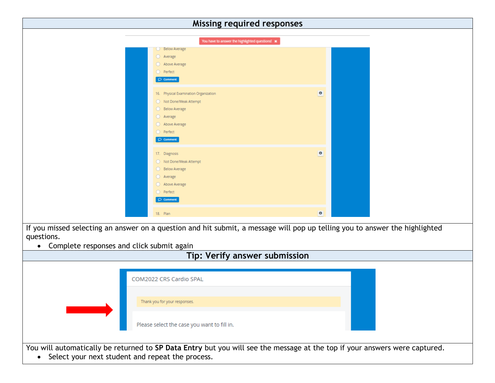|                                                                                                                                                                                                     |                                                                                                                                                  | <b>Missing required responses</b> |  |
|-----------------------------------------------------------------------------------------------------------------------------------------------------------------------------------------------------|--------------------------------------------------------------------------------------------------------------------------------------------------|-----------------------------------|--|
|                                                                                                                                                                                                     | You have to answer the highlighted questions! *                                                                                                  |                                   |  |
|                                                                                                                                                                                                     | <b>O</b> Below Average<br>O Average<br>Above Average<br>O Perfect<br>$\circledcirc$ Comment                                                      |                                   |  |
|                                                                                                                                                                                                     | 16. Physical Examination Organization<br>Not Done/Weak Attempt<br>Below Average<br>Average<br>Above Average<br>Perfect<br>$\circledcirc$ Comment | $\bullet$                         |  |
|                                                                                                                                                                                                     | 17. Diagnosis<br>Not Done/Weak Attempt<br>Below Average<br>Average<br>Above Average<br>O Perfect<br>$\circledcirc$ Comment                       | $\bullet$                         |  |
|                                                                                                                                                                                                     | 18. Plan                                                                                                                                         | $\bullet$                         |  |
| If you missed selecting an answer on a question and hit submit, a message will pop up telling you to answer the highlighted<br>questions.<br>Complete responses and click submit again<br>$\bullet$ |                                                                                                                                                  | Tip: Verify answer submission     |  |
|                                                                                                                                                                                                     | COM2022 CRS Cardio SPAL                                                                                                                          |                                   |  |
|                                                                                                                                                                                                     | Thank you for your responses.                                                                                                                    |                                   |  |
|                                                                                                                                                                                                     | Please select the case you want to fill in.                                                                                                      |                                   |  |
| You will automatically be returned to SP Data Entry but you will see the message at the top if your answers were captured.<br>• Select your next student and repeat the process.                    |                                                                                                                                                  |                                   |  |